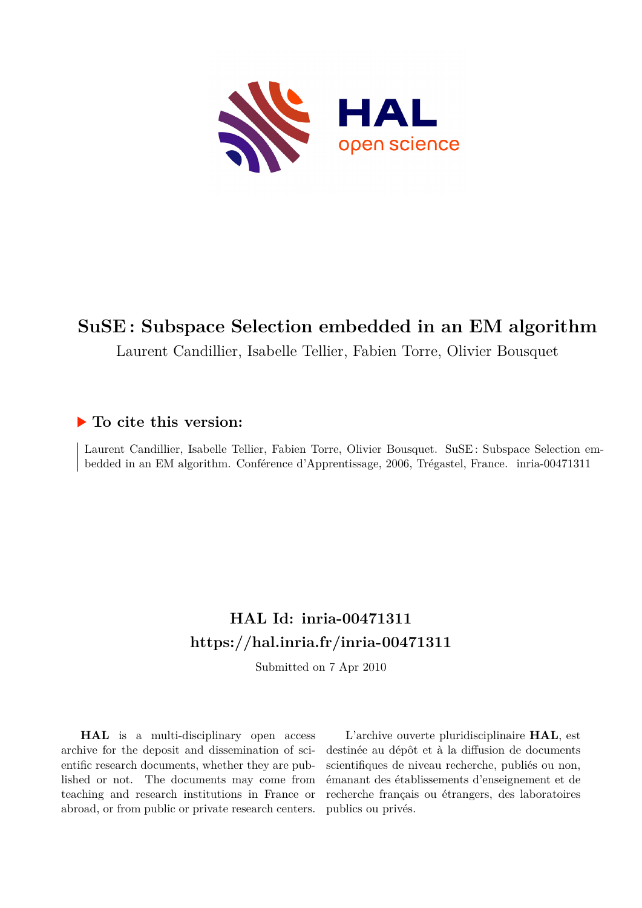

# **SuSE : Subspace Selection embedded in an EM algorithm**

Laurent Candillier, Isabelle Tellier, Fabien Torre, Olivier Bousquet

# **To cite this version:**

Laurent Candillier, Isabelle Tellier, Fabien Torre, Olivier Bousquet. SuSE : Subspace Selection embedded in an EM algorithm. Conférence d'Apprentissage, 2006, Trégastel, France. inria-00471311

# **HAL Id: inria-00471311 <https://hal.inria.fr/inria-00471311>**

Submitted on 7 Apr 2010

**HAL** is a multi-disciplinary open access archive for the deposit and dissemination of scientific research documents, whether they are published or not. The documents may come from teaching and research institutions in France or abroad, or from public or private research centers.

L'archive ouverte pluridisciplinaire **HAL**, est destinée au dépôt et à la diffusion de documents scientifiques de niveau recherche, publiés ou non, émanant des établissements d'enseignement et de recherche français ou étrangers, des laboratoires publics ou privés.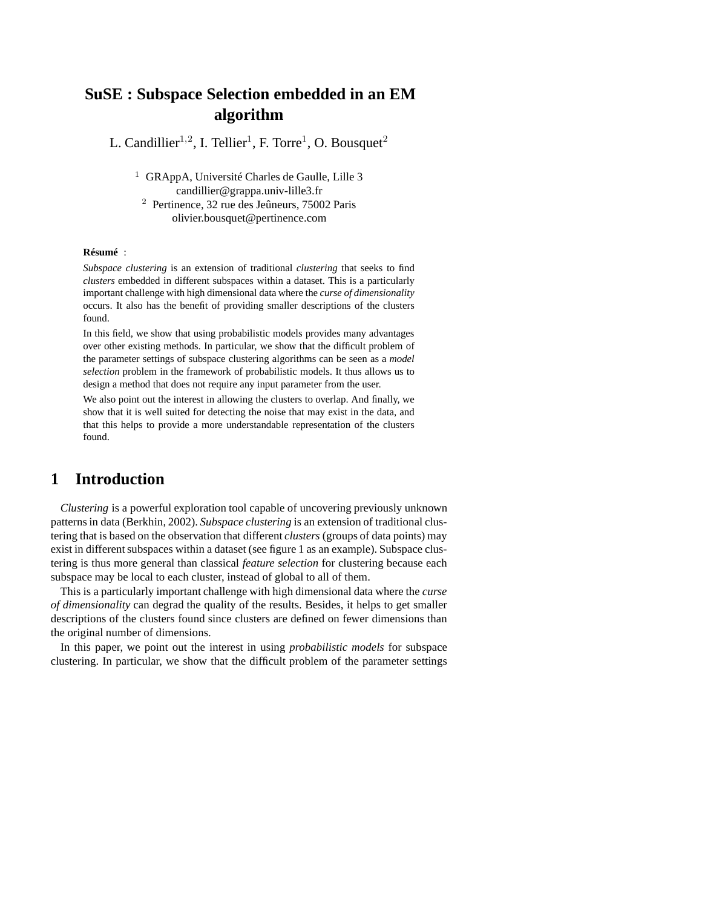# **SuSE : Subspace Selection embedded in an EM algorithm**

L. Candillier<sup>1,2</sup>, I. Tellier<sup>1</sup>, F. Torre<sup>1</sup>, O. Bousquet<sup>2</sup>

<sup>1</sup> GRAppA, Université Charles de Gaulle, Lille 3 candillier@grappa.univ-lille3.fr <sup>2</sup> Pertinence, 32 rue des Jeûneurs, 75002 Paris olivier.bousquet@pertinence.com

#### **Résumé** :

*Subspace clustering* is an extension of traditional *clustering* that seeks to find *clusters* embedded in different subspaces within a dataset. This is a particularly important challenge with high dimensional data where the *curse of dimensionality* occurs. It also has the benefit of providing smaller descriptions of the clusters found.

In this field, we show that using probabilistic models provides many advantages over other existing methods. In particular, we show that the difficult problem of the parameter settings of subspace clustering algorithms can be seen as a *model selection* problem in the framework of probabilistic models. It thus allows us to design a method that does not require any input parameter from the user.

We also point out the interest in allowing the clusters to overlap. And finally, we show that it is well suited for detecting the noise that may exist in the data, and that this helps to provide a more understandable representation of the clusters found.

## **1 Introduction**

*Clustering* is a powerful exploration tool capable of uncovering previously unknown patterns in data (Berkhin, 2002). *Subspace clustering* is an extension of traditional clustering that is based on the observation that different *clusters* (groups of data points) may exist in different subspaces within a dataset (see figure 1 as an example). Subspace clustering is thus more general than classical *feature selection* for clustering because each subspace may be local to each cluster, instead of global to all of them.

This is a particularly important challenge with high dimensional data where the *curse of dimensionality* can degrad the quality of the results. Besides, it helps to get smaller descriptions of the clusters found since clusters are defined on fewer dimensions than the original number of dimensions.

In this paper, we point out the interest in using *probabilistic models* for subspace clustering. In particular, we show that the difficult problem of the parameter settings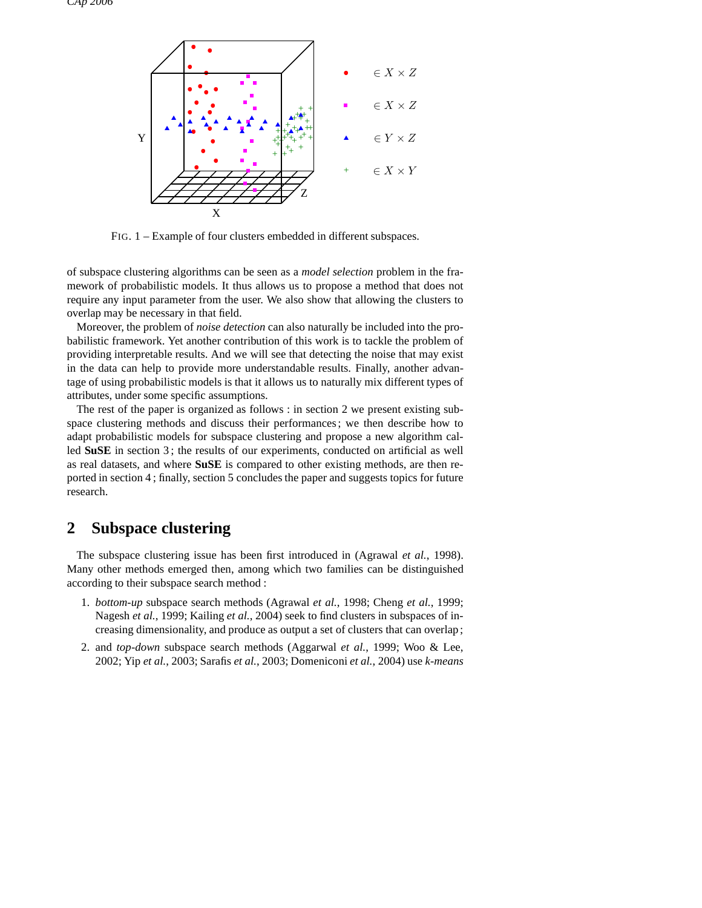

FIG. 1 – Example of four clusters embedded in different subspaces.

of subspace clustering algorithms can be seen as a *model selection* problem in the framework of probabilistic models. It thus allows us to propose a method that does not require any input parameter from the user. We also show that allowing the clusters to overlap may be necessary in that field.

Moreover, the problem of *noise detection* can also naturally be included into the probabilistic framework. Yet another contribution of this work is to tackle the problem of providing interpretable results. And we will see that detecting the noise that may exist in the data can help to provide more understandable results. Finally, another advantage of using probabilistic models is that it allows us to naturally mix different types of attributes, under some specific assumptions.

The rest of the paper is organized as follows : in section 2 we present existing subspace clustering methods and discuss their performances ; we then describe how to adapt probabilistic models for subspace clustering and propose a new algorithm called **SuSE** in section 3 ; the results of our experiments, conducted on artificial as well as real datasets, and where **SuSE** is compared to other existing methods, are then reported in section 4 ; finally, section 5 concludes the paper and suggests topics for future research.

# **2 Subspace clustering**

The subspace clustering issue has been first introduced in (Agrawal *et al.*, 1998). Many other methods emerged then, among which two families can be distinguished according to their subspace search method :

- 1. *bottom-up* subspace search methods (Agrawal *et al.*, 1998; Cheng *et al.*, 1999; Nagesh *et al.*, 1999; Kailing *et al.*, 2004) seek to find clusters in subspaces of increasing dimensionality, and produce as output a set of clusters that can overlap ;
- 2. and *top-down* subspace search methods (Aggarwal *et al.*, 1999; Woo & Lee, 2002; Yip *et al.*, 2003; Sarafis *et al.*, 2003; Domeniconi *et al.*, 2004) use *k-means*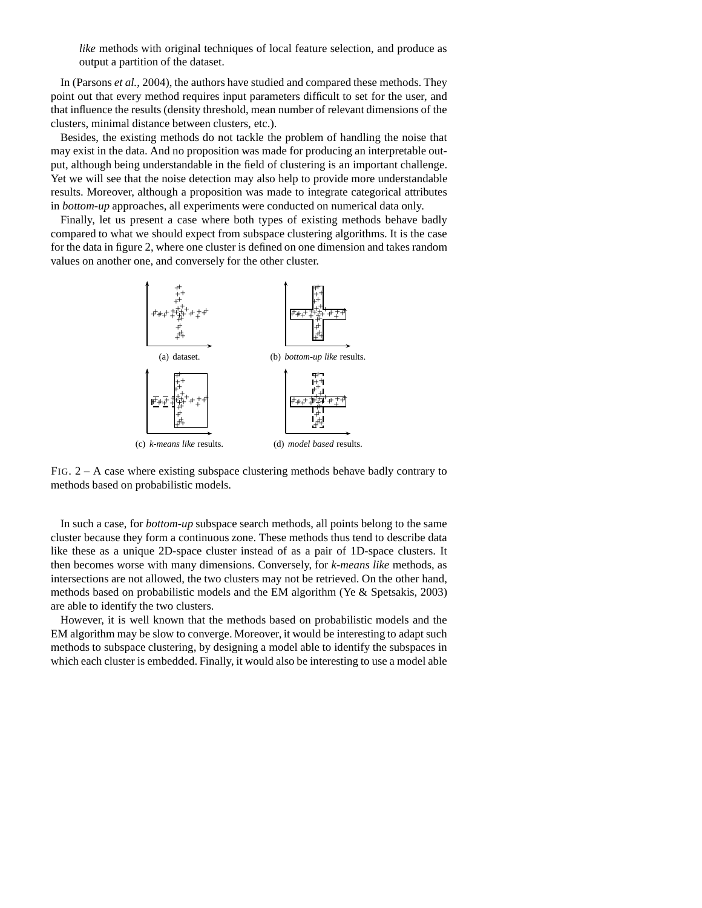*like* methods with original techniques of local feature selection, and produce as output a partition of the dataset.

In (Parsons *et al.*, 2004), the authors have studied and compared these methods. They point out that every method requires input parameters difficult to set for the user, and that influence the results (density threshold, mean number of relevant dimensions of the clusters, minimal distance between clusters, etc.).

Besides, the existing methods do not tackle the problem of handling the noise that may exist in the data. And no proposition was made for producing an interpretable output, although being understandable in the field of clustering is an important challenge. Yet we will see that the noise detection may also help to provide more understandable results. Moreover, although a proposition was made to integrate categorical attributes in *bottom-up* approaches, all experiments were conducted on numerical data only.

Finally, let us present a case where both types of existing methods behave badly compared to what we should expect from subspace clustering algorithms. It is the case for the data in figure 2, where one cluster is defined on one dimension and takes random values on another one, and conversely for the other cluster.



FIG. 2 – A case where existing subspace clustering methods behave badly contrary to methods based on probabilistic models.

In such a case, for *bottom-up* subspace search methods, all points belong to the same cluster because they form a continuous zone. These methods thus tend to describe data like these as a unique 2D-space cluster instead of as a pair of 1D-space clusters. It then becomes worse with many dimensions. Conversely, for *k-means like* methods, as intersections are not allowed, the two clusters may not be retrieved. On the other hand, methods based on probabilistic models and the EM algorithm (Ye & Spetsakis, 2003) are able to identify the two clusters.

However, it is well known that the methods based on probabilistic models and the EM algorithm may be slow to converge. Moreover, it would be interesting to adapt such methods to subspace clustering, by designing a model able to identify the subspaces in which each cluster is embedded. Finally, it would also be interesting to use a model able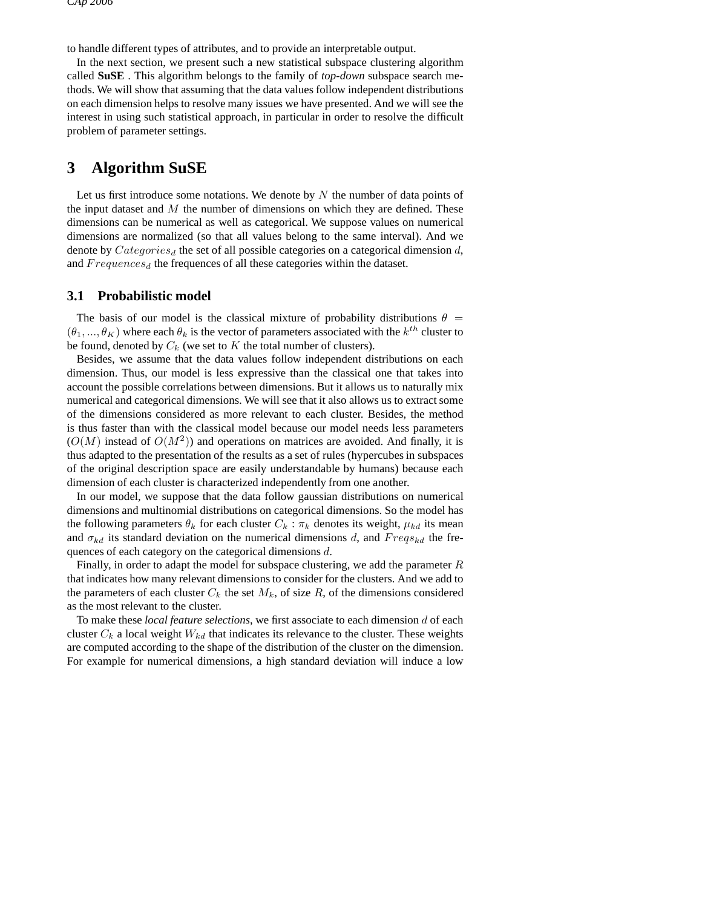to handle different types of attributes, and to provide an interpretable output.

In the next section, we present such a new statistical subspace clustering algorithm called **SuSE** . This algorithm belongs to the family of *top-down* subspace search methods. We will show that assuming that the data values follow independent distributions on each dimension helps to resolve many issues we have presented. And we will see the interest in using such statistical approach, in particular in order to resolve the difficult problem of parameter settings.

## **3 Algorithm SuSE**

Let us first introduce some notations. We denote by  $N$  the number of data points of the input dataset and  $M$  the number of dimensions on which they are defined. These dimensions can be numerical as well as categorical. We suppose values on numerical dimensions are normalized (so that all values belong to the same interval). And we denote by  $Categorical$  the set of all possible categories on a categorical dimension d, and  $Frequencies_d$  the frequences of all these categories within the dataset.

#### **3.1 Probabilistic model**

The basis of our model is the classical mixture of probability distributions  $\theta =$  $(\theta_1, ..., \theta_K)$  where each  $\theta_k$  is the vector of parameters associated with the  $k^{th}$  cluster to be found, denoted by  $C_k$  (we set to  $K$  the total number of clusters).

Besides, we assume that the data values follow independent distributions on each dimension. Thus, our model is less expressive than the classical one that takes into account the possible correlations between dimensions. But it allows us to naturally mix numerical and categorical dimensions. We will see that it also allows us to extract some of the dimensions considered as more relevant to each cluster. Besides, the method is thus faster than with the classical model because our model needs less parameters  $(O(M)$  instead of  $O(M^2)$ ) and operations on matrices are avoided. And finally, it is thus adapted to the presentation of the results as a set of rules (hypercubes in subspaces of the original description space are easily understandable by humans) because each dimension of each cluster is characterized independently from one another.

In our model, we suppose that the data follow gaussian distributions on numerical dimensions and multinomial distributions on categorical dimensions. So the model has the following parameters  $\theta_k$  for each cluster  $C_k : \pi_k$  denotes its weight,  $\mu_{kd}$  its mean and  $\sigma_{kd}$  its standard deviation on the numerical dimensions d, and  $Freqs_{kd}$  the frequences of each category on the categorical dimensions d.

Finally, in order to adapt the model for subspace clustering, we add the parameter R that indicates how many relevant dimensions to consider for the clusters. And we add to the parameters of each cluster  $C_k$  the set  $M_k$ , of size R, of the dimensions considered as the most relevant to the cluster.

To make these *local feature selections*, we first associate to each dimension d of each cluster  $C_k$  a local weight  $W_{kd}$  that indicates its relevance to the cluster. These weights are computed according to the shape of the distribution of the cluster on the dimension. For example for numerical dimensions, a high standard deviation will induce a low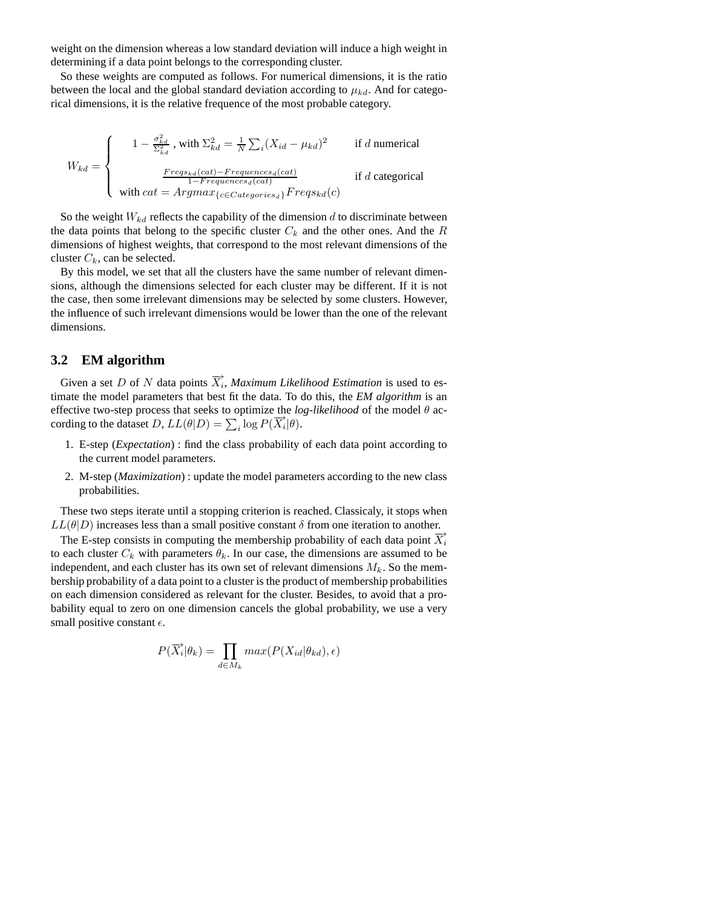weight on the dimension whereas a low standard deviation will induce a high weight in determining if a data point belongs to the corresponding cluster.

So these weights are computed as follows. For numerical dimensions, it is the ratio between the local and the global standard deviation according to  $\mu_{kd}$ . And for categorical dimensions, it is the relative frequence of the most probable category.

$$
W_{kd} = \begin{cases} 1 - \frac{\sigma_{kd}^2}{\Sigma_{kd}^2}, \text{ with } \Sigma_{kd}^2 = \frac{1}{N} \sum_i (X_{id} - \mu_{kd})^2 & \text{if } d \text{ numerical} \\ \frac{Freqs_{kd}(cat) - Frequences_d(cat)}{1 - Frequences_d(cat)} & \text{if } d \text{ categorical} \\ \text{with } cat = Argmax_{\{c \in Categories_d\}} Freqs_{kd}(c) & \end{cases}
$$

So the weight  $W_{kd}$  reflects the capability of the dimension d to discriminate between the data points that belong to the specific cluster  $C_k$  and the other ones. And the R dimensions of highest weights, that correspond to the most relevant dimensions of the cluster  $C_k$ , can be selected.

By this model, we set that all the clusters have the same number of relevant dimensions, although the dimensions selected for each cluster may be different. If it is not the case, then some irrelevant dimensions may be selected by some clusters. However, the influence of such irrelevant dimensions would be lower than the one of the relevant dimensions.

#### **3.2 EM algorithm**

Given a set D of N data points  $\overrightarrow{X}_i$ , *Maximum Likelihood Estimation* is used to estimate the model parameters that best fit the data. To do this, the *EM algorithm* is an effective two-step process that seeks to optimize the  $log-likelihood$  of the model  $\theta$  according to the dataset  $D$ ,  $LL(\theta|D) = \sum_i \log P(\overrightarrow{X_i}|\theta)$ .

- 1. E-step (*Expectation*) : find the class probability of each data point according to the current model parameters.
- 2. M-step (*Maximization*) : update the model parameters according to the new class probabilities.

These two steps iterate until a stopping criterion is reached. Classicaly, it stops when  $LL(\theta|D)$  increases less than a small positive constant  $\delta$  from one iteration to another.

The E-step consists in computing the membership probability of each data point  $\overline{X_i}$ to each cluster  $C_k$  with parameters  $\theta_k$ . In our case, the dimensions are assumed to be independent, and each cluster has its own set of relevant dimensions  $M_k$ . So the membership probability of a data point to a cluster is the product of membership probabilities on each dimension considered as relevant for the cluster. Besides, to avoid that a probability equal to zero on one dimension cancels the global probability, we use a very small positive constant  $\epsilon$ .

$$
P(\overrightarrow{X_i}|\theta_k) = \prod_{d \in M_k} max(P(X_{id}|\theta_{kd}), \epsilon)
$$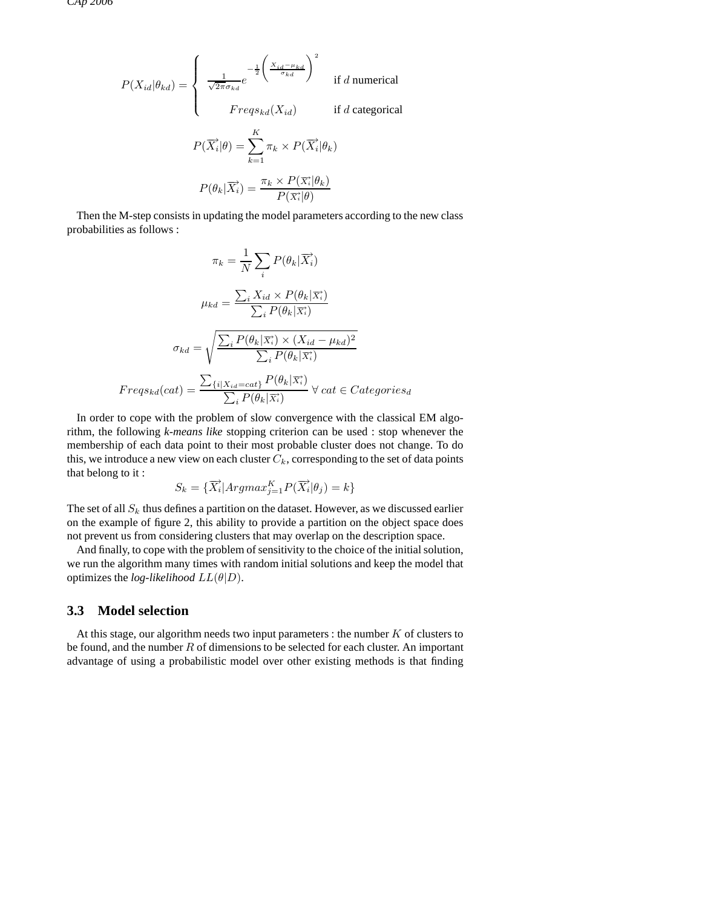$$
P(X_{id}|\theta_{kd}) = \begin{cases} \frac{1}{\sqrt{2\pi}\sigma_{kd}} e^{-\frac{1}{2} \left(\frac{X_{id} - \mu_{kd}}{\sigma_{kd}}\right)^2} & \text{if } d \text{ numerical} \\ Freqs_{kd}(X_{id}) & \text{if } d \text{ categorical} \end{cases}
$$

$$
P(\overrightarrow{X_i}|\theta) = \sum_{k=1}^{K} \pi_k \times P(\overrightarrow{X_i}|\theta_k)
$$

$$
P(\theta_k|\overrightarrow{X_i}) = \frac{\pi_k \times P(\overrightarrow{X_i}|\theta_k)}{P(\overrightarrow{X_i}|\theta)}
$$

Then the M-step consists in updating the model parameters according to the new class probabilities as follows :

$$
\pi_k = \frac{1}{N} \sum_i P(\theta_k | \overrightarrow{X_i})
$$

$$
\mu_{kd} = \frac{\sum_i X_{id} \times P(\theta_k | \overrightarrow{X_i})}{\sum_i P(\theta_k | \overrightarrow{X_i})}
$$

$$
\sigma_{kd} = \sqrt{\frac{\sum_i P(\theta_k | \overrightarrow{X_i}) \times (X_{id} - \mu_{kd})^2}{\sum_i P(\theta_k | \overrightarrow{X_i})}}
$$

$$
Freqs_{kd}(cat) = \frac{\sum_i \{i | X_{id} = cat\}}{\sum_i P(\theta_k | \overrightarrow{X_i})} \forall cat \in Categories_d
$$

In order to cope with the problem of slow convergence with the classical EM algorithm, the following *k-means like* stopping criterion can be used : stop whenever the membership of each data point to their most probable cluster does not change. To do this, we introduce a new view on each cluster  $C_k$ , corresponding to the set of data points that belong to it :

$$
S_k = \{\overrightarrow{X_i} | Argmax_{j=1}^K P(\overrightarrow{X_i} | \theta_j) = k\}
$$

The set of all  $S_k$  thus defines a partition on the dataset. However, as we discussed earlier on the example of figure 2, this ability to provide a partition on the object space does not prevent us from considering clusters that may overlap on the description space.

And finally, to cope with the problem of sensitivity to the choice of the initial solution, we run the algorithm many times with random initial solutions and keep the model that optimizes the *log-likelihood*  $LL(\theta|D)$ .

#### **3.3 Model selection**

At this stage, our algorithm needs two input parameters : the number  $K$  of clusters to be found, and the number  $R$  of dimensions to be selected for each cluster. An important advantage of using a probabilistic model over other existing methods is that finding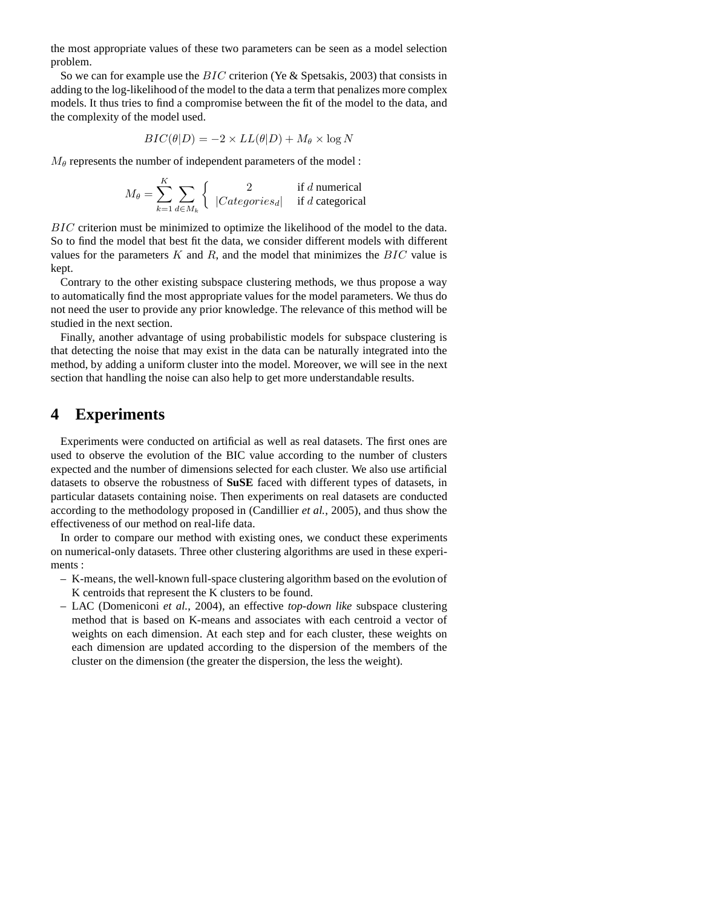the most appropriate values of these two parameters can be seen as a model selection problem.

So we can for example use the BIC criterion (Ye & Spetsakis, 2003) that consists in adding to the log-likelihood of the model to the data a term that penalizes more complex models. It thus tries to find a compromise between the fit of the model to the data, and the complexity of the model used.

$$
BIC(\theta|D) = -2 \times LL(\theta|D) + M_{\theta} \times \log N
$$

 $M_{\theta}$  represents the number of independent parameters of the model :

$$
M_{\theta} = \sum_{k=1}^{K} \sum_{d \in M_k} \begin{cases} 2 & \text{if } d \text{ numerical} \\ |Categorical & \text{if } d \text{ categorical} \end{cases}
$$

BIC criterion must be minimized to optimize the likelihood of the model to the data. So to find the model that best fit the data, we consider different models with different values for the parameters  $K$  and  $R$ , and the model that minimizes the  $BIC$  value is kept.

Contrary to the other existing subspace clustering methods, we thus propose a way to automatically find the most appropriate values for the model parameters. We thus do not need the user to provide any prior knowledge. The relevance of this method will be studied in the next section.

Finally, another advantage of using probabilistic models for subspace clustering is that detecting the noise that may exist in the data can be naturally integrated into the method, by adding a uniform cluster into the model. Moreover, we will see in the next section that handling the noise can also help to get more understandable results.

### **4 Experiments**

Experiments were conducted on artificial as well as real datasets. The first ones are used to observe the evolution of the BIC value according to the number of clusters expected and the number of dimensions selected for each cluster. We also use artificial datasets to observe the robustness of **SuSE** faced with different types of datasets, in particular datasets containing noise. Then experiments on real datasets are conducted according to the methodology proposed in (Candillier *et al.*, 2005), and thus show the effectiveness of our method on real-life data.

In order to compare our method with existing ones, we conduct these experiments on numerical-only datasets. Three other clustering algorithms are used in these experiments :

- K-means, the well-known full-space clustering algorithm based on the evolution of K centroids that represent the K clusters to be found.
- LAC (Domeniconi *et al.*, 2004), an effective *top-down like* subspace clustering method that is based on K-means and associates with each centroid a vector of weights on each dimension. At each step and for each cluster, these weights on each dimension are updated according to the dispersion of the members of the cluster on the dimension (the greater the dispersion, the less the weight).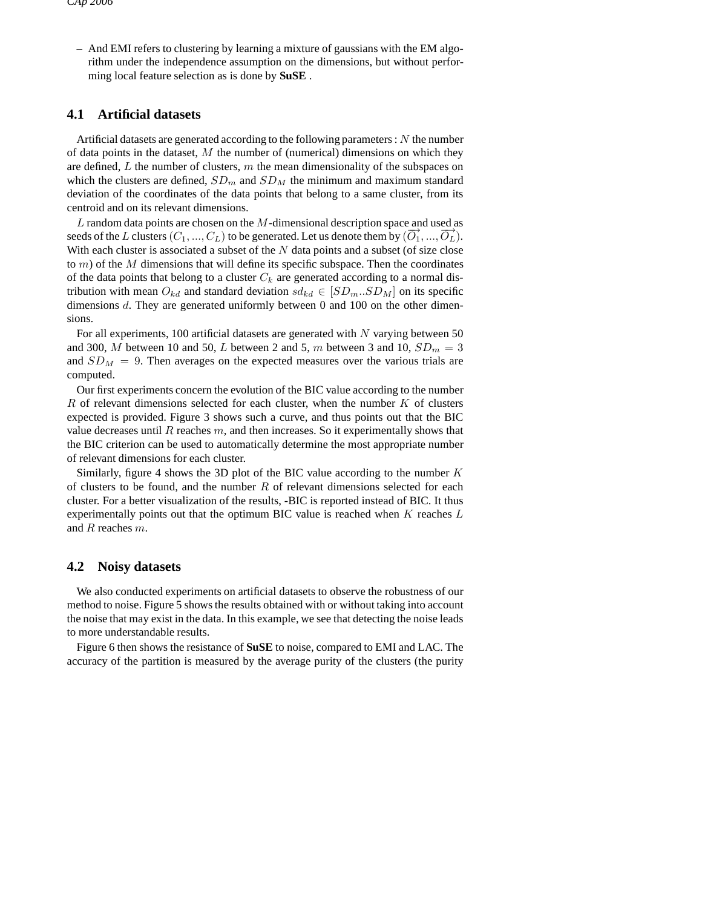– And EMI refers to clustering by learning a mixture of gaussians with the EM algorithm under the independence assumption on the dimensions, but without performing local feature selection as is done by **SuSE** .

#### **4.1 Artificial datasets**

Artificial datasets are generated according to the following parameters :  $N$  the number of data points in the dataset,  $M$  the number of (numerical) dimensions on which they are defined,  $L$  the number of clusters,  $m$  the mean dimensionality of the subspaces on which the clusters are defined,  $SD_m$  and  $SD_M$  the minimum and maximum standard deviation of the coordinates of the data points that belong to a same cluster, from its centroid and on its relevant dimensions.

L random data points are chosen on the  $M$ -dimensional description space and used as  $\overline{D}$  random data points are enosen on the *Fr* dimensional description space distances as seeds of the *L* clusters  $(C_1, ..., C_L)$  to be generated. Let us denote them by  $(\overrightarrow{O_1}, ..., \overrightarrow{O_L})$ . With each cluster is associated a subset of the  $N$  data points and a subset (of size close to  $m$ ) of the  $M$  dimensions that will define its specific subspace. Then the coordinates of the data points that belong to a cluster  $C_k$  are generated according to a normal distribution with mean  $O_{kd}$  and standard deviation  $sd_{kd} \in [SD_m..SD_M]$  on its specific dimensions d. They are generated uniformly between 0 and 100 on the other dimensions.

For all experiments, 100 artificial datasets are generated with  $N$  varying between 50 and 300, M between 10 and 50, L between 2 and 5, m between 3 and 10,  $SD_m = 3$ and  $SD<sub>M</sub> = 9$ . Then averages on the expected measures over the various trials are computed.

Our first experiments concern the evolution of the BIC value according to the number  $R$  of relevant dimensions selected for each cluster, when the number  $K$  of clusters expected is provided. Figure 3 shows such a curve, and thus points out that the BIC value decreases until  $R$  reaches  $m$ , and then increases. So it experimentally shows that the BIC criterion can be used to automatically determine the most appropriate number of relevant dimensions for each cluster.

Similarly, figure 4 shows the 3D plot of the BIC value according to the number  $K$ of clusters to be found, and the number  $R$  of relevant dimensions selected for each cluster. For a better visualization of the results, -BIC is reported instead of BIC. It thus experimentally points out that the optimum BIC value is reached when  $K$  reaches  $L$ and R reaches m.

#### **4.2 Noisy datasets**

We also conducted experiments on artificial datasets to observe the robustness of our method to noise. Figure 5 shows the results obtained with or without taking into account the noise that may exist in the data. In this example, we see that detecting the noise leads to more understandable results.

Figure 6 then shows the resistance of **SuSE** to noise, compared to EMI and LAC. The accuracy of the partition is measured by the average purity of the clusters (the purity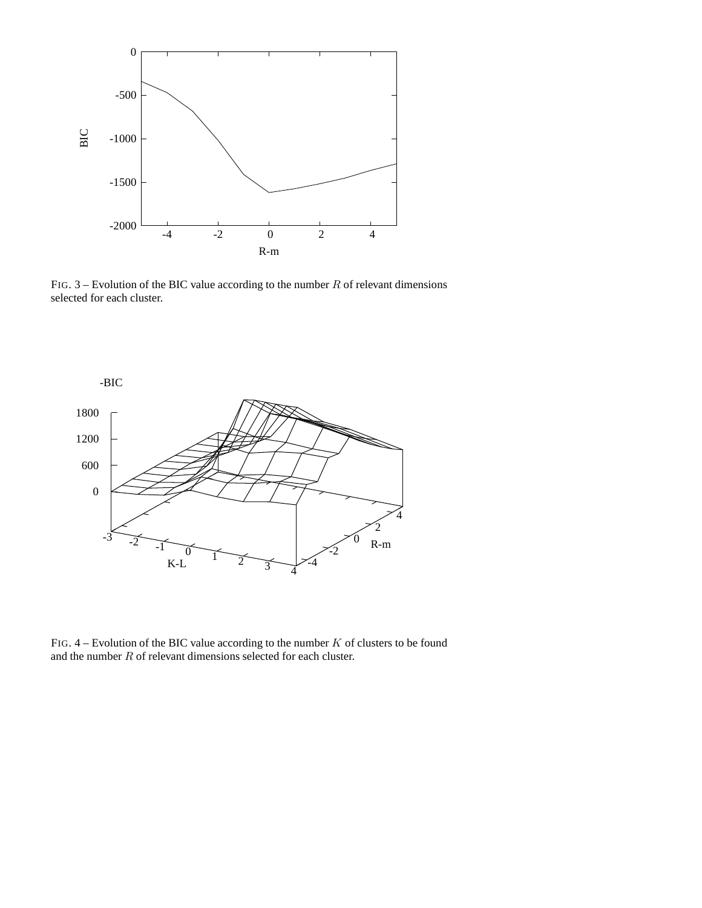

FIG.  $3$  – Evolution of the BIC value according to the number R of relevant dimensions selected for each cluster.



FIG.  $4$  – Evolution of the BIC value according to the number  $K$  of clusters to be found and the number R of relevant dimensions selected for each cluster.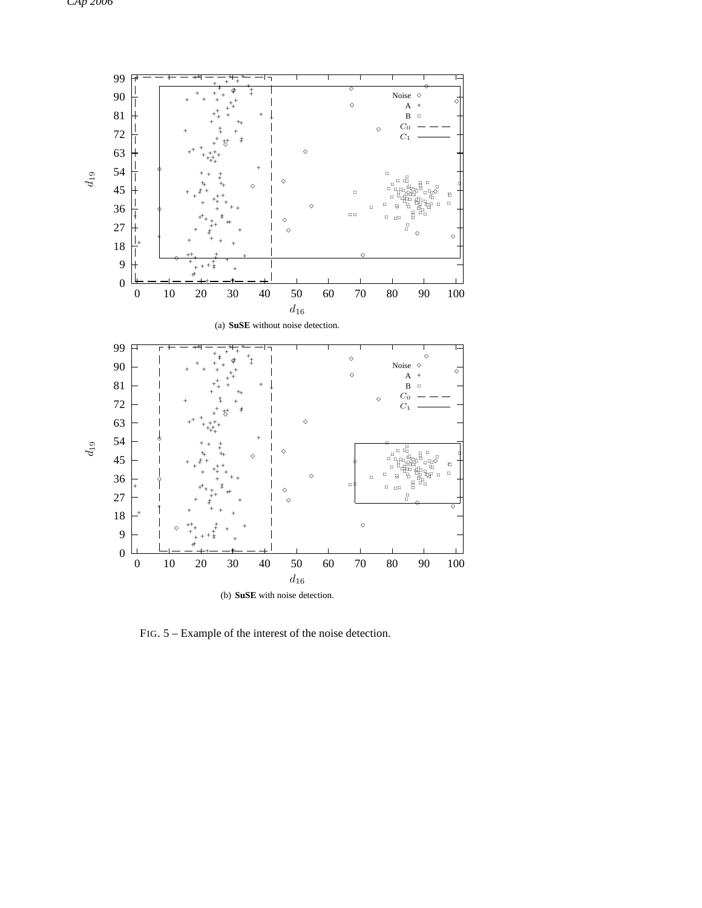

FIG. 5 – Example of the interest of the noise detection.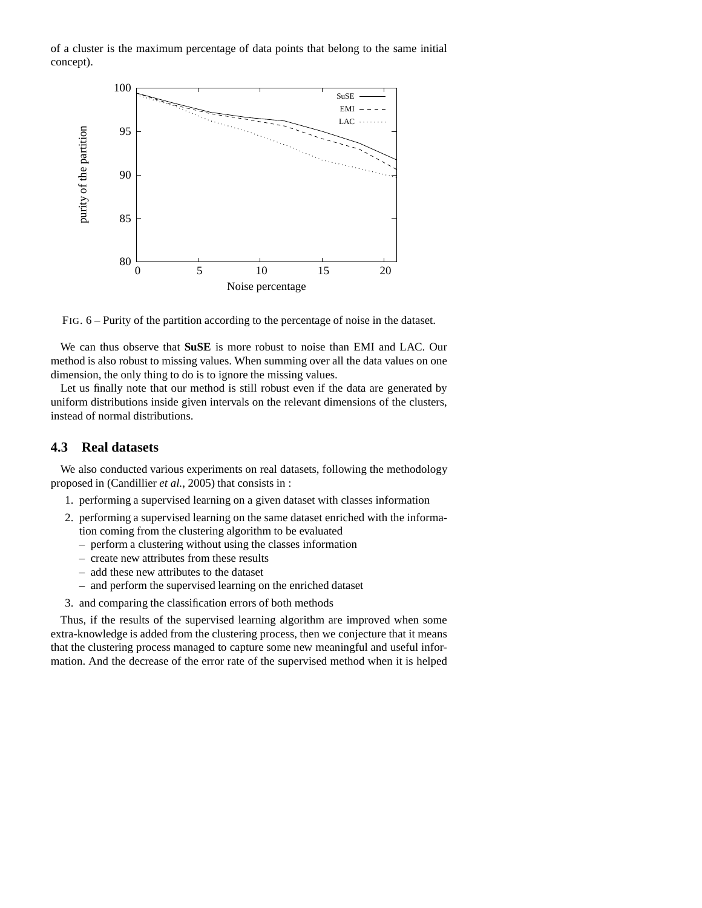of a cluster is the maximum percentage of data points that belong to the same initial concept).



FIG. 6 – Purity of the partition according to the percentage of noise in the dataset.

We can thus observe that **SuSE** is more robust to noise than EMI and LAC. Our method is also robust to missing values. When summing over all the data values on one dimension, the only thing to do is to ignore the missing values.

Let us finally note that our method is still robust even if the data are generated by uniform distributions inside given intervals on the relevant dimensions of the clusters, instead of normal distributions.

#### **4.3 Real datasets**

We also conducted various experiments on real datasets, following the methodology proposed in (Candillier *et al.*, 2005) that consists in :

- 1. performing a supervised learning on a given dataset with classes information
- 2. performing a supervised learning on the same dataset enriched with the information coming from the clustering algorithm to be evaluated
	- perform a clustering without using the classes information
	- create new attributes from these results
	- add these new attributes to the dataset
	- and perform the supervised learning on the enriched dataset
- 3. and comparing the classification errors of both methods

Thus, if the results of the supervised learning algorithm are improved when some extra-knowledge is added from the clustering process, then we conjecture that it means that the clustering process managed to capture some new meaningful and useful information. And the decrease of the error rate of the supervised method when it is helped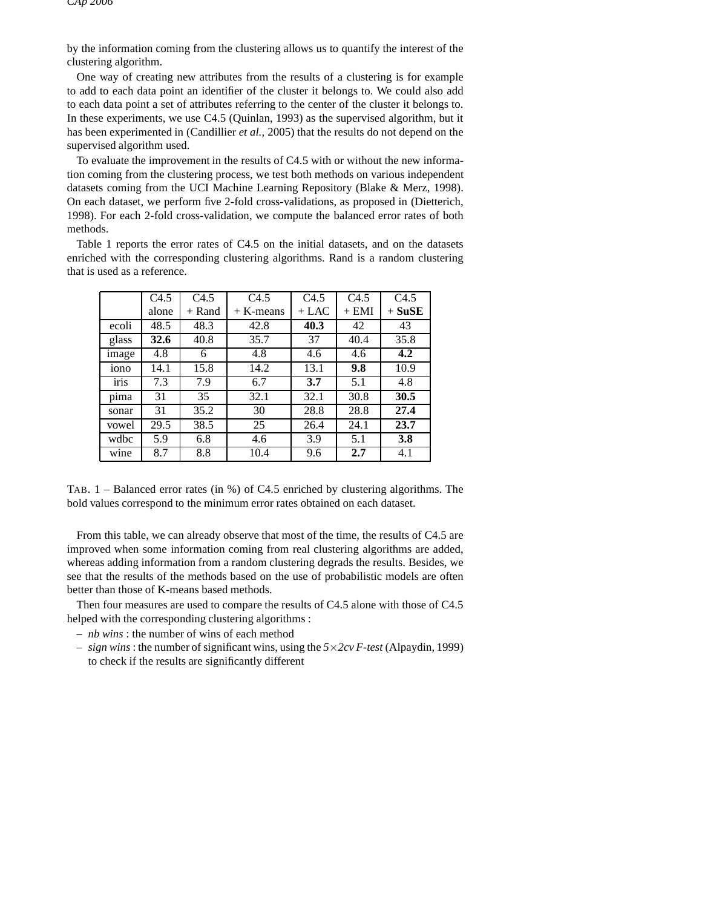by the information coming from the clustering allows us to quantify the interest of the clustering algorithm.

One way of creating new attributes from the results of a clustering is for example to add to each data point an identifier of the cluster it belongs to. We could also add to each data point a set of attributes referring to the center of the cluster it belongs to. In these experiments, we use C4.5 (Quinlan, 1993) as the supervised algorithm, but it has been experimented in (Candillier *et al.*, 2005) that the results do not depend on the supervised algorithm used.

To evaluate the improvement in the results of C4.5 with or without the new information coming from the clustering process, we test both methods on various independent datasets coming from the UCI Machine Learning Repository (Blake & Merz, 1998). On each dataset, we perform five 2-fold cross-validations, as proposed in (Dietterich, 1998). For each 2-fold cross-validation, we compute the balanced error rates of both methods.

Table 1 reports the error rates of C4.5 on the initial datasets, and on the datasets enriched with the corresponding clustering algorithms. Rand is a random clustering that is used as a reference.

|                  | C <sub>4.5</sub> | C4.5     | C4.5        | C4.5    | C4.5    | C4.5     |
|------------------|------------------|----------|-------------|---------|---------|----------|
|                  | alone            | $+$ Rand | $+$ K-means | $+$ LAC | $+$ EMI | $+$ SuSE |
| ecoli            | 48.5             | 48.3     | 42.8        | 40.3    | 42      | 43       |
| glass            | 32.6             | 40.8     | 35.7        | 37      | 40.4    | 35.8     |
| image            | 4.8              | 6        | 4.8         | 4.6     | 4.6     | 4.2      |
| 10 <sub>no</sub> | 14.1             | 15.8     | 14.2        | 13.1    | 9.8     | 10.9     |
| iris             | 7.3              | 7.9      | 6.7         | 3.7     | 5.1     | 4.8      |
| pima             | 31               | 35       | 32.1        | 32.1    | 30.8    | 30.5     |
| sonar            | 31               | 35.2     | 30          | 28.8    | 28.8    | 27.4     |
| vowel            | 29.5             | 38.5     | 25          | 26.4    | 24.1    | 23.7     |
| wdbc             | 5.9              | 6.8      | 4.6         | 3.9     | 5.1     | 3.8      |
| wine             | 8.7              | 8.8      | 10.4        | 9.6     | 2.7     | 4.1      |

TAB. 1 – Balanced error rates (in %) of C4.5 enriched by clustering algorithms. The bold values correspond to the minimum error rates obtained on each dataset.

From this table, we can already observe that most of the time, the results of C4.5 are improved when some information coming from real clustering algorithms are added, whereas adding information from a random clustering degrads the results. Besides, we see that the results of the methods based on the use of probabilistic models are often better than those of K-means based methods.

Then four measures are used to compare the results of C4.5 alone with those of C4.5 helped with the corresponding clustering algorithms :

- *nb wins* : the number of wins of each method
- *sign wins* : the number of significant wins, using the *5*×*2cv F-test* (Alpaydin, 1999) to check if the results are significantly different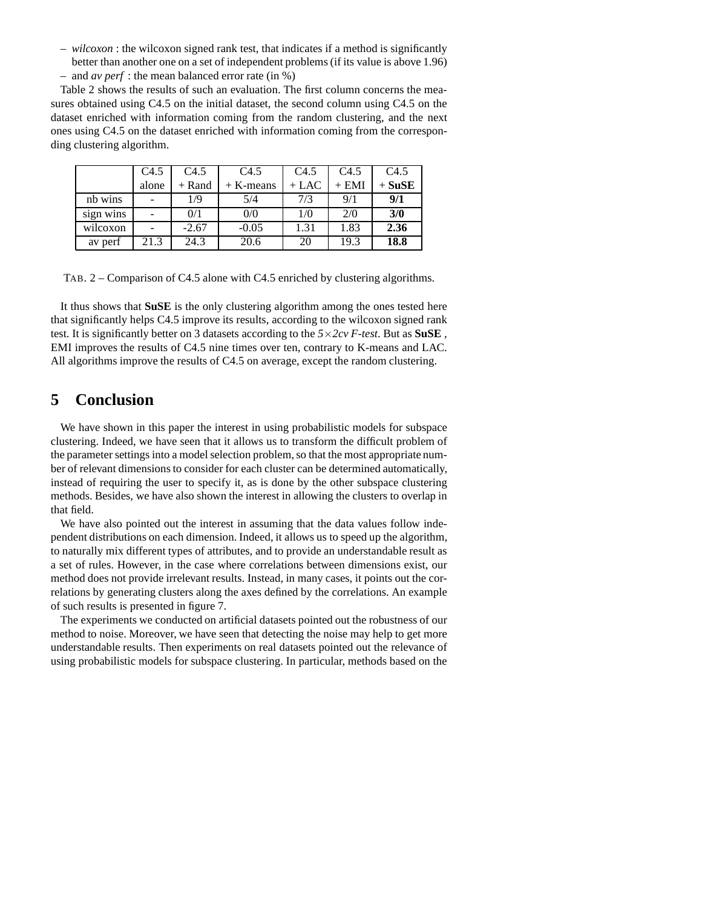– *wilcoxon* : the wilcoxon signed rank test, that indicates if a method is significantly better than another one on a set of independent problems (if its value is above 1.96) – and *av perf* : the mean balanced error rate (in %)

Table 2 shows the results of such an evaluation. The first column concerns the measures obtained using C4.5 on the initial dataset, the second column using C4.5 on the dataset enriched with information coming from the random clustering, and the next ones using C4.5 on the dataset enriched with information coming from the corresponding clustering algorithm.

|           | C4.5  | C4.5     | C4.5        | C4.5    | C4.5    | C4.5     |
|-----------|-------|----------|-------------|---------|---------|----------|
|           | alone | $+$ Rand | $+$ K-means | $+$ LAC | $+$ EMI | $+$ SuSE |
| nb wins   |       | 1/9      | 5/4         | 7/3     | 9/1     | 9/1      |
| sign wins |       | 0/1      | 0/0         | 1/0     | 2/0     | 3/0      |
| wilcoxon  |       | $-2.67$  | $-0.05$     | 1.31    | 1.83    | 2.36     |
| av perf   | 21.3  | 24.3     | 20.6        | 20      | 19.3    | 18.8     |

TAB. 2 – Comparison of C4.5 alone with C4.5 enriched by clustering algorithms.

It thus shows that **SuSE** is the only clustering algorithm among the ones tested here that significantly helps C4.5 improve its results, according to the wilcoxon signed rank test. It is significantly better on 3 datasets according to the *5*×*2cv F-test*. But as **SuSE** , EMI improves the results of C4.5 nine times over ten, contrary to K-means and LAC. All algorithms improve the results of C4.5 on average, except the random clustering.

# **5 Conclusion**

We have shown in this paper the interest in using probabilistic models for subspace clustering. Indeed, we have seen that it allows us to transform the difficult problem of the parameter settings into a model selection problem, so that the most appropriate number of relevant dimensions to consider for each cluster can be determined automatically, instead of requiring the user to specify it, as is done by the other subspace clustering methods. Besides, we have also shown the interest in allowing the clusters to overlap in that field.

We have also pointed out the interest in assuming that the data values follow independent distributions on each dimension. Indeed, it allows us to speed up the algorithm, to naturally mix different types of attributes, and to provide an understandable result as a set of rules. However, in the case where correlations between dimensions exist, our method does not provide irrelevant results. Instead, in many cases, it points out the correlations by generating clusters along the axes defined by the correlations. An example of such results is presented in figure 7.

The experiments we conducted on artificial datasets pointed out the robustness of our method to noise. Moreover, we have seen that detecting the noise may help to get more understandable results. Then experiments on real datasets pointed out the relevance of using probabilistic models for subspace clustering. In particular, methods based on the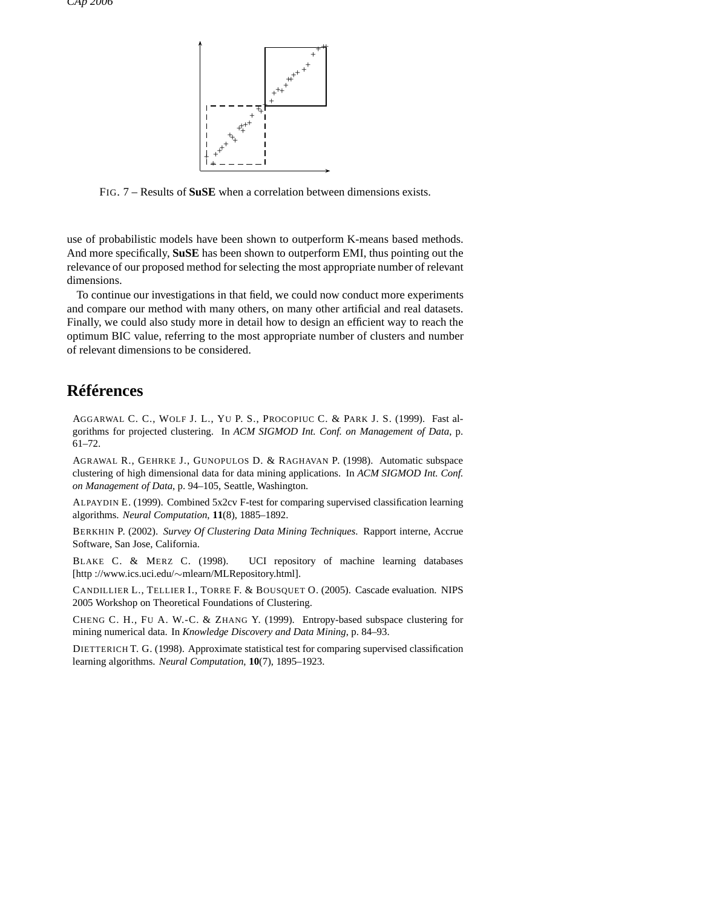

FIG. 7 – Results of **SuSE** when a correlation between dimensions exists.

use of probabilistic models have been shown to outperform K-means based methods. And more specifically, **SuSE** has been shown to outperform EMI, thus pointing out the relevance of our proposed method for selecting the most appropriate number of relevant dimensions.

To continue our investigations in that field, we could now conduct more experiments and compare our method with many others, on many other artificial and real datasets. Finally, we could also study more in detail how to design an efficient way to reach the optimum BIC value, referring to the most appropriate number of clusters and number of relevant dimensions to be considered.

## **Références**

AGGARWAL C. C., WOLF J. L., YU P. S., PROCOPIUC C. & PARK J. S. (1999). Fast algorithms for projected clustering. In *ACM SIGMOD Int. Conf. on Management of Data*, p. 61–72.

AGRAWAL R., GEHRKE J., GUNOPULOS D. & RAGHAVAN P. (1998). Automatic subspace clustering of high dimensional data for data mining applications. In *ACM SIGMOD Int. Conf. on Management of Data*, p. 94–105, Seattle, Washington.

ALPAYDIN E. (1999). Combined 5x2cv F-test for comparing supervised classification learning algorithms. *Neural Computation*, **11**(8), 1885–1892.

BERKHIN P. (2002). *Survey Of Clustering Data Mining Techniques*. Rapport interne, Accrue Software, San Jose, California.

BLAKE C. & MERZ C. (1998). UCI repository of machine learning databases [http ://www.ics.uci.edu/∼mlearn/MLRepository.html].

CANDILLIER L., TELLIER I., TORRE F. & BOUSQUET O. (2005). Cascade evaluation. NIPS 2005 Workshop on Theoretical Foundations of Clustering.

CHENG C. H., FU A. W.-C. & ZHANG Y. (1999). Entropy-based subspace clustering for mining numerical data. In *Knowledge Discovery and Data Mining*, p. 84–93.

DIETTERICH T. G. (1998). Approximate statistical test for comparing supervised classification learning algorithms. *Neural Computation*, **10**(7), 1895–1923.